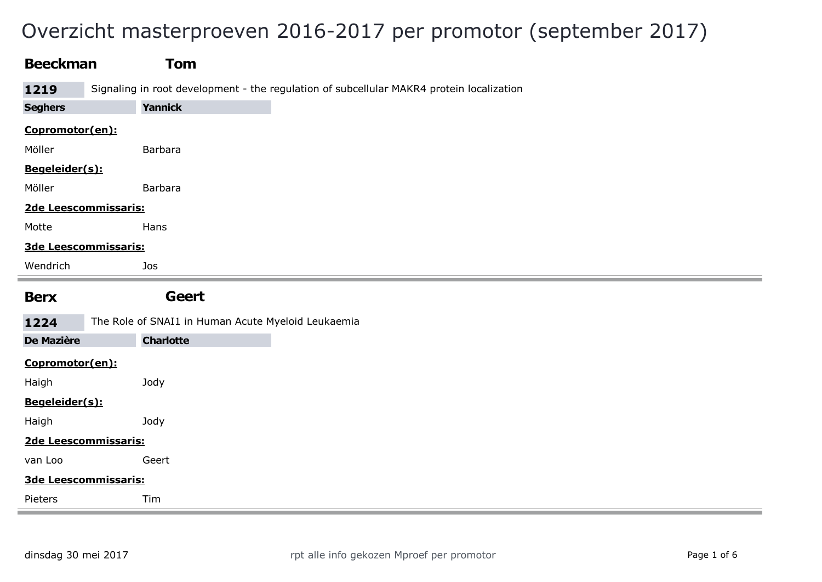# Overzicht masterproeven 2016-2017 per promotor (september 2017)

| <b>Beeckman</b>   | Tom                                                                                      |
|-------------------|------------------------------------------------------------------------------------------|
| 1219              | Signaling in root development - the regulation of subcellular MAKR4 protein localization |
| <b>Seghers</b>    | <b>Yannick</b>                                                                           |
| Copromotor(en):   |                                                                                          |
| Möller            | <b>Barbara</b>                                                                           |
| Begeleider(s):    |                                                                                          |
| Möller            | Barbara                                                                                  |
|                   | 2de Leescommissaris:                                                                     |
| Motte             | Hans                                                                                     |
|                   | 3de Leescommissaris:                                                                     |
| Wendrich          | Jos                                                                                      |
|                   |                                                                                          |
| <b>Berx</b>       | Geert                                                                                    |
| 1224              | The Role of SNAI1 in Human Acute Myeloid Leukaemia                                       |
| <b>De Mazière</b> | <b>Charlotte</b>                                                                         |
| Copromotor(en):   |                                                                                          |
| Haigh             | Jody                                                                                     |
| Begeleider(s):    |                                                                                          |
| Haigh             | Jody                                                                                     |
|                   | 2de Leescommissaris:                                                                     |
| van Loo           | Geert                                                                                    |
|                   | 3de Leescommissaris:                                                                     |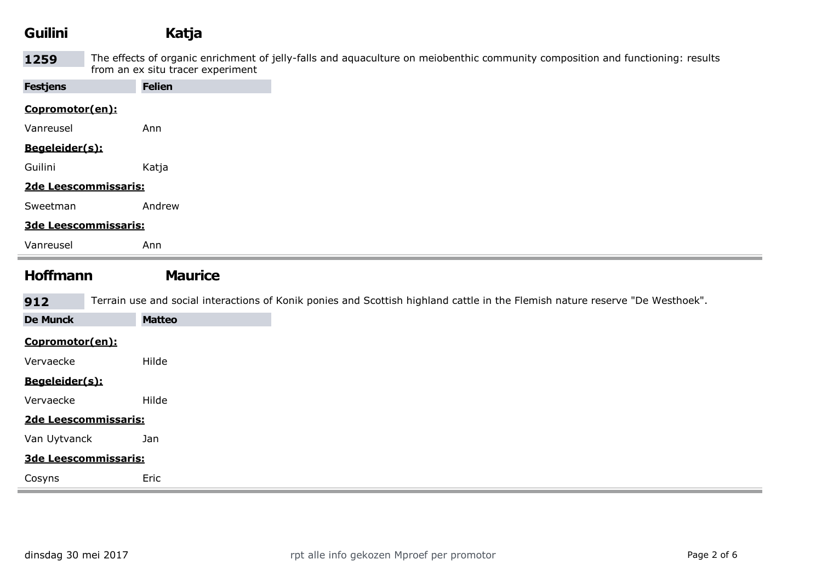| <b>Guilini</b>       | Katja                             |                                                                                                                                |
|----------------------|-----------------------------------|--------------------------------------------------------------------------------------------------------------------------------|
| 1259                 | from an ex situ tracer experiment | The effects of organic enrichment of jelly-falls and aquaculture on meiobenthic community composition and functioning: results |
| <b>Festjens</b>      | <b>Felien</b>                     |                                                                                                                                |
| Copromotor(en):      |                                   |                                                                                                                                |
| Vanreusel            | Ann                               |                                                                                                                                |
| Begeleider(s):       |                                   |                                                                                                                                |
| Guilini              | Katja                             |                                                                                                                                |
| 2de Leescommissaris: |                                   |                                                                                                                                |
| Sweetman             | Andrew                            |                                                                                                                                |
| 3de Leescommissaris: |                                   |                                                                                                                                |
| Vanreusel            | Ann                               |                                                                                                                                |

### Hoffmann Maurice

912 Terrain use and social interactions of Konik ponies and Scottish highland cattle in the Flemish nature reserve "De Westhoek". De Munck Matteo Copromotor(en): Vervaecke Hilde Begeleider(s):

#### 2de Leescommissaris:

Van Uytvanck Jan

Vervaecke Hilde

#### 3de Leescommissaris:

Cosyns Eric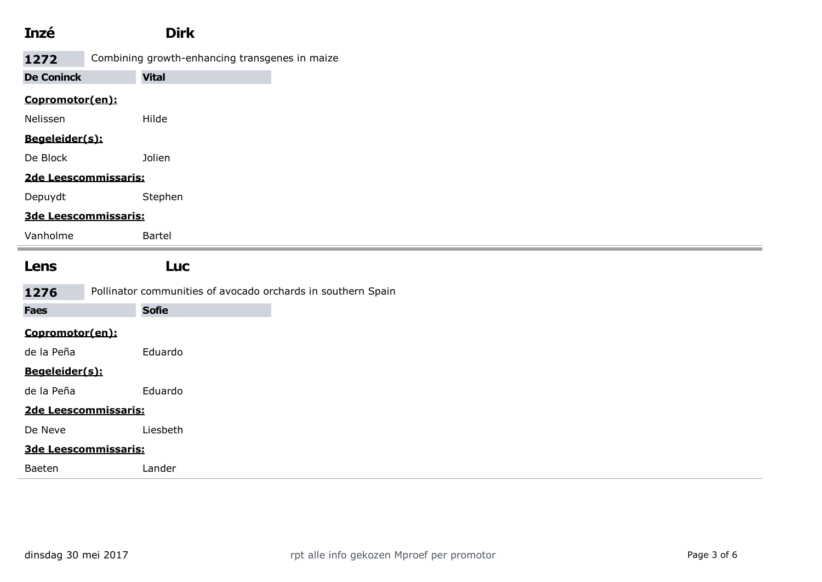| Inzé                 | <b>Dirk</b>                                                  |
|----------------------|--------------------------------------------------------------|
| 1272                 | Combining growth-enhancing transgenes in maize               |
| <b>De Coninck</b>    | <b>Vital</b>                                                 |
| Copromotor(en):      |                                                              |
| Nelissen             | Hilde                                                        |
| Begeleider(s):       |                                                              |
| De Block             | Jolien                                                       |
| 2de Leescommissaris: |                                                              |
| Depuydt              | Stephen                                                      |
| 3de Leescommissaris: |                                                              |
| Vanholme             | Bartel                                                       |
| Lens                 | <b>Luc</b>                                                   |
| 1276                 | Pollinator communities of avocado orchards in southern Spain |
| <b>Faes</b>          | <b>Sofie</b>                                                 |
| Copromotor(en):      |                                                              |
| de la Peña           | Eduardo                                                      |
| Begeleider(s):       |                                                              |
| de la Peña           | Eduardo                                                      |
| 2de Leescommissaris: |                                                              |
| De Neve              | Liesbeth                                                     |
|                      |                                                              |
|                      | 3de Leescommissaris:                                         |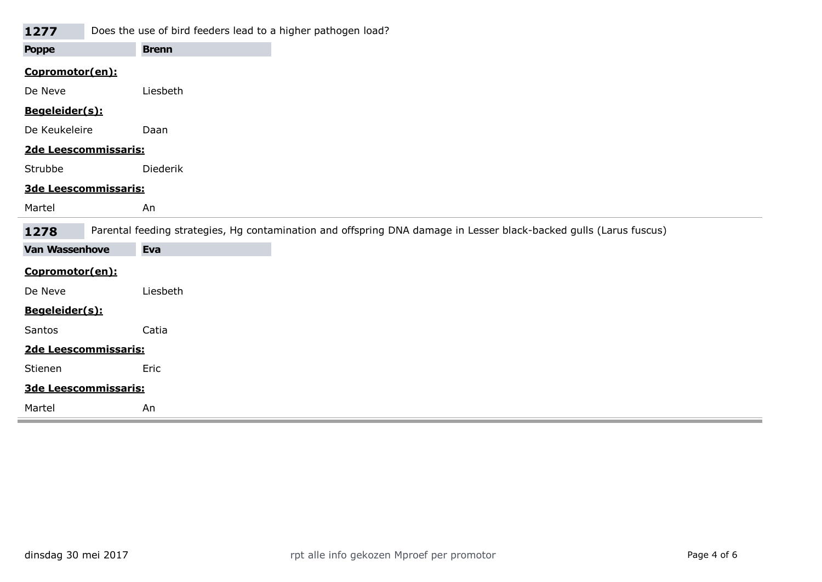| 1277                  | Does the use of bird feeders lead to a higher pathogen load? |                                                                                                                    |
|-----------------------|--------------------------------------------------------------|--------------------------------------------------------------------------------------------------------------------|
| <b>Poppe</b>          | <b>Brenn</b>                                                 |                                                                                                                    |
| Copromotor(en):       |                                                              |                                                                                                                    |
| De Neve               | Liesbeth                                                     |                                                                                                                    |
| Begeleider(s):        |                                                              |                                                                                                                    |
| De Keukeleire         | Daan                                                         |                                                                                                                    |
| 2de Leescommissaris:  |                                                              |                                                                                                                    |
| Strubbe               | <b>Diederik</b>                                              |                                                                                                                    |
| 3de Leescommissaris:  |                                                              |                                                                                                                    |
| Martel                | An                                                           |                                                                                                                    |
| 1278                  |                                                              | Parental feeding strategies, Hg contamination and offspring DNA damage in Lesser black-backed gulls (Larus fuscus) |
| <b>Van Wassenhove</b> | Eva                                                          |                                                                                                                    |
| Copromotor(en):       |                                                              |                                                                                                                    |
| De Neve               | Liesbeth                                                     |                                                                                                                    |
| Begeleider(s):        |                                                              |                                                                                                                    |
| Santos                | Catia                                                        |                                                                                                                    |
| 2de Leescommissaris:  |                                                              |                                                                                                                    |
|                       |                                                              |                                                                                                                    |
| Stienen               | Eric                                                         |                                                                                                                    |
| 3de Leescommissaris:  |                                                              |                                                                                                                    |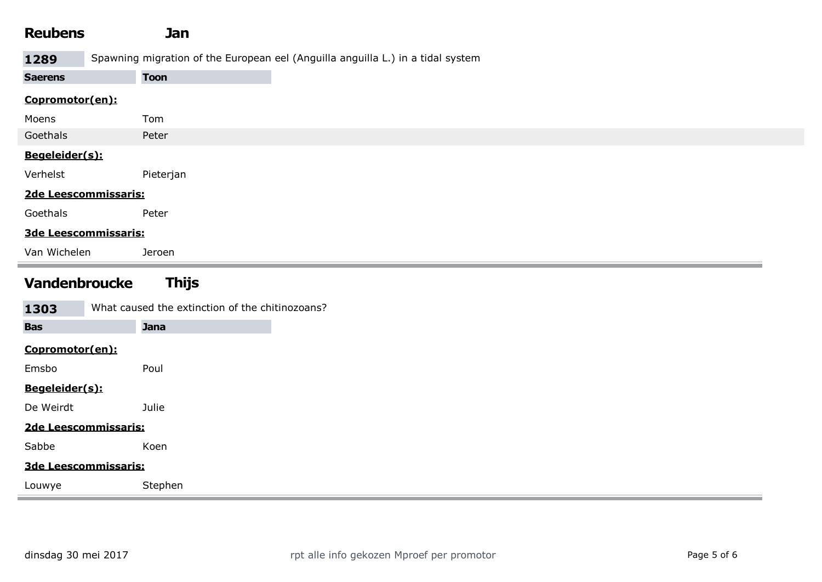| <b>Reubens</b>       | Jan                                                                             |
|----------------------|---------------------------------------------------------------------------------|
| 1289                 | Spawning migration of the European eel (Anguilla anguilla L.) in a tidal system |
| <b>Saerens</b>       | <b>Toon</b>                                                                     |
| Copromotor(en):      |                                                                                 |
| Moens                | Tom                                                                             |
| Goethals             | Peter                                                                           |
| Begeleider(s):       |                                                                                 |
| Verhelst             | Pieterjan                                                                       |
| 2de Leescommissaris: |                                                                                 |
| Goethals             | Peter                                                                           |
| 3de Leescommissaris: |                                                                                 |
| Van Wichelen         | Jeroen                                                                          |

## Vandenbroucke Thijs

| What caused the extinction of the chitinozoans?<br>1303 |             |  |  |
|---------------------------------------------------------|-------------|--|--|
| <b>Bas</b>                                              | <b>Jana</b> |  |  |
| Copromotor(en):                                         |             |  |  |
| Emsbo                                                   | Poul        |  |  |
| Begeleider(s):                                          |             |  |  |
| De Weirdt                                               | Julie       |  |  |
| 2de Leescommissaris:                                    |             |  |  |
| Sabbe                                                   | Koen        |  |  |
| 3de Leescommissaris:                                    |             |  |  |
| Louwye                                                  | Stephen     |  |  |